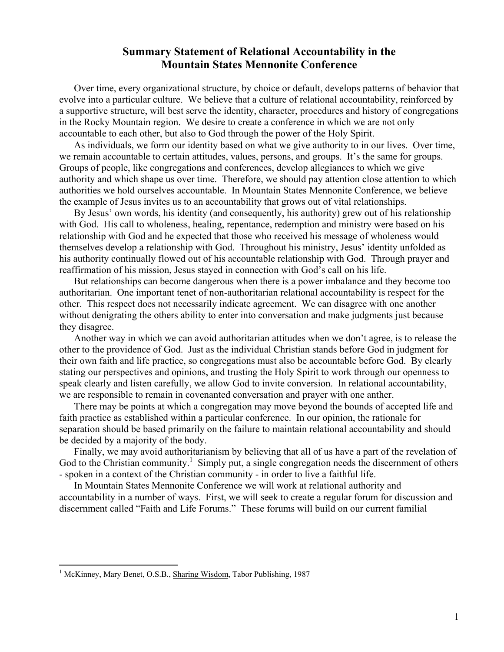## **Summary Statement of Relational Accountability in the Mountain States Mennonite Conference**

Over time, every organizational structure, by choice or default, develops patterns of behavior that evolve into a particular culture. We believe that a culture of relational accountability, reinforced by a supportive structure, will best serve the identity, character, procedures and history of congregations in the Rocky Mountain region. We desire to create a conference in which we are not only accountable to each other, but also to God through the power of the Holy Spirit.

As individuals, we form our identity based on what we give authority to in our lives. Over time, we remain accountable to certain attitudes, values, persons, and groups. It's the same for groups. Groups of people, like congregations and conferences, develop allegiances to which we give authority and which shape us over time. Therefore, we should pay attention close attention to which authorities we hold ourselves accountable. In Mountain States Mennonite Conference, we believe the example of Jesus invites us to an accountability that grows out of vital relationships.

By Jesus' own words, his identity (and consequently, his authority) grew out of his relationship with God. His call to wholeness, healing, repentance, redemption and ministry were based on his relationship with God and he expected that those who received his message of wholeness would themselves develop a relationship with God. Throughout his ministry, Jesus' identity unfolded as his authority continually flowed out of his accountable relationship with God. Through prayer and reaffirmation of his mission, Jesus stayed in connection with God's call on his life.

But relationships can become dangerous when there is a power imbalance and they become too authoritarian. One important tenet of non-authoritarian relational accountability is respect for the other. This respect does not necessarily indicate agreement. We can disagree with one another without denigrating the others ability to enter into conversation and make judgments just because they disagree.

Another way in which we can avoid authoritarian attitudes when we don't agree, is to release the other to the providence of God. Just as the individual Christian stands before God in judgment for their own faith and life practice, so congregations must also be accountable before God. By clearly stating our perspectives and opinions, and trusting the Holy Spirit to work through our openness to speak clearly and listen carefully, we allow God to invite conversion. In relational accountability, we are responsible to remain in covenanted conversation and prayer with one anther.

There may be points at which a congregation may move beyond the bounds of accepted life and faith practice as established within a particular conference. In our opinion, the rationale for separation should be based primarily on the failure to maintain relational accountability and should be decided by a majority of the body.

Finally, we may avoid authoritarianism by believing that all of us have a part of the revelation of God to the Christian community.<sup>1</sup> Simply put, a single congregation needs the discernment of others - spoken in a context of the Christian community - in order to live a faithful life.

In Mountain States Mennonite Conference we will work at relational authority and accountability in a number of ways. First, we will seek to create a regular forum for discussion and discernment called "Faith and Life Forums." These forums will build on our current familial

 $\overline{a}$ 

<sup>&</sup>lt;sup>1</sup> McKinney, Mary Benet, O.S.B., Sharing Wisdom, Tabor Publishing, 1987